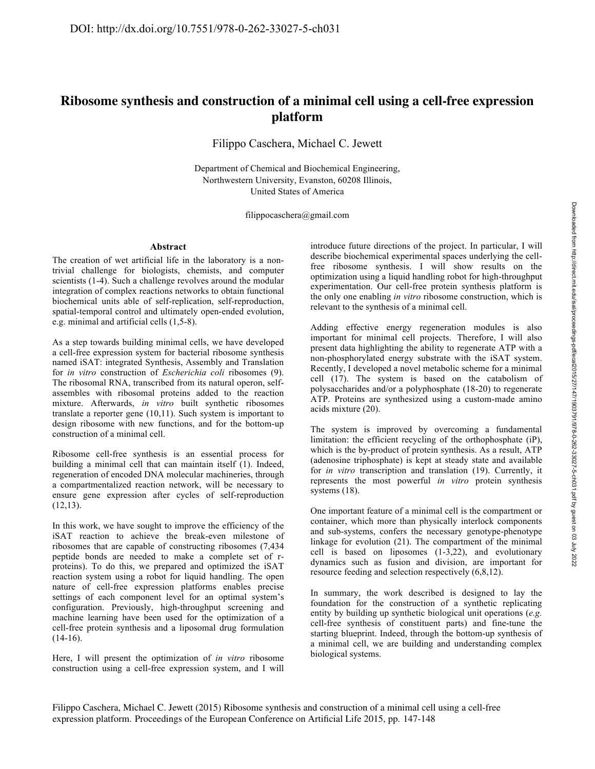# **Ribosome synthesis and construction of a minimal cell using a cell-free expression platform**

Filippo Caschera, Michael C. Jewett

Department of Chemical and Biochemical Engineering, Northwestern University, Evanston, 60208 Illinois, United States of America

filippocaschera@gmail.com

### **Abstract**

The creation of wet artificial life in the laboratory is a nontrivial challenge for biologists, chemists, and computer scientists (1-4). Such a challenge revolves around the modular integration of complex reactions networks to obtain functional biochemical units able of self-replication, self-reproduction, spatial-temporal control and ultimately open-ended evolution, e.g. minimal and artificial cells (1,5-8).

As a step towards building minimal cells, we have developed a cell-free expression system for bacterial ribosome synthesis named iSAT: integrated Synthesis, Assembly and Translation for *in vitro* construction of *Escherichia coli* ribosomes (9). The ribosomal RNA, transcribed from its natural operon, selfassembles with ribosomal proteins added to the reaction mixture. Afterwards, *in vitro* built synthetic ribosomes translate a reporter gene (10,11). Such system is important to design ribosome with new functions, and for the bottom-up construction of a minimal cell.

Ribosome cell-free synthesis is an essential process for building a minimal cell that can maintain itself (1). Indeed, regeneration of encoded DNA molecular machineries, through a compartmentalized reaction network, will be necessary to ensure gene expression after cycles of self-reproduction  $(12,13)$ .

In this work, we have sought to improve the efficiency of the iSAT reaction to achieve the break-even milestone of ribosomes that are capable of constructing ribosomes (7,434 peptide bonds are needed to make a complete set of rproteins). To do this, we prepared and optimized the iSAT reaction system using a robot for liquid handling. The open nature of cell-free expression platforms enables precise settings of each component level for an optimal system's configuration. Previously, high-throughput screening and machine learning have been used for the optimization of a cell-free protein synthesis and a liposomal drug formulation  $(14-16)$ .

Here, I will present the optimization of *in vitro* ribosome construction using a cell-free expression system, and I will

introduce future directions of the project. In particular, I will describe biochemical experimental spaces underlying the cellfree ribosome synthesis. I will show results on the optimization using a liquid handling robot for high-throughput experimentation. Our cell-free protein synthesis platform is the only one enabling *in vitro* ribosome construction, which is relevant to the synthesis of a minimal cell.

Adding effective energy regeneration modules is also important for minimal cell projects. Therefore, I will also present data highlighting the ability to regenerate ATP with a non-phosphorylated energy substrate with the iSAT system. Recently, I developed a novel metabolic scheme for a minimal cell (17). The system is based on the catabolism of polysaccharides and/or a polyphosphate (18-20) to regenerate ATP. Proteins are synthesized using a custom-made amino acids mixture (20).

The system is improved by overcoming a fundamental limitation: the efficient recycling of the orthophosphate (iP), which is the by-product of protein synthesis. As a result, ATP (adenosine triphosphate) is kept at steady state and available for *in vitro* transcription and translation (19). Currently, it represents the most powerful *in vitro* protein synthesis systems (18).

One important feature of a minimal cell is the compartment or container, which more than physically interlock components and sub-systems, confers the necessary genotype-phenotype linkage for evolution (21). The compartment of the minimal cell is based on liposomes (1-3,22), and evolutionary dynamics such as fusion and division, are important for resource feeding and selection respectively (6,8,12).

In summary, the work described is designed to lay the foundation for the construction of a synthetic replicating entity by building up synthetic biological unit operations (*e.g.* cell-free synthesis of constituent parts) and fine-tune the starting blueprint. Indeed, through the bottom-up synthesis of a minimal cell, we are building and understanding complex biological systems.

Downloaded from http://direct.mit.edu/isal/proceedings-pdfecal2015/27/147/1903791/978-0-262-33027-5-ch031.pdf by guest on 03 July 2022 Downloaded from http://direct.mit.edu/isal/proceedings-pdf/ecal2015/27/147/1903791/978-0-262-33027-5-ch031.pdf by guest on 03 July 2022

Filippo Caschera, Michael C. Jewett (2015) Ribosome synthesis and construction of a minimal cell using a cell-free expression platform. Proceedings of the European Conference on Artificial Life 2015, pp. 147-148